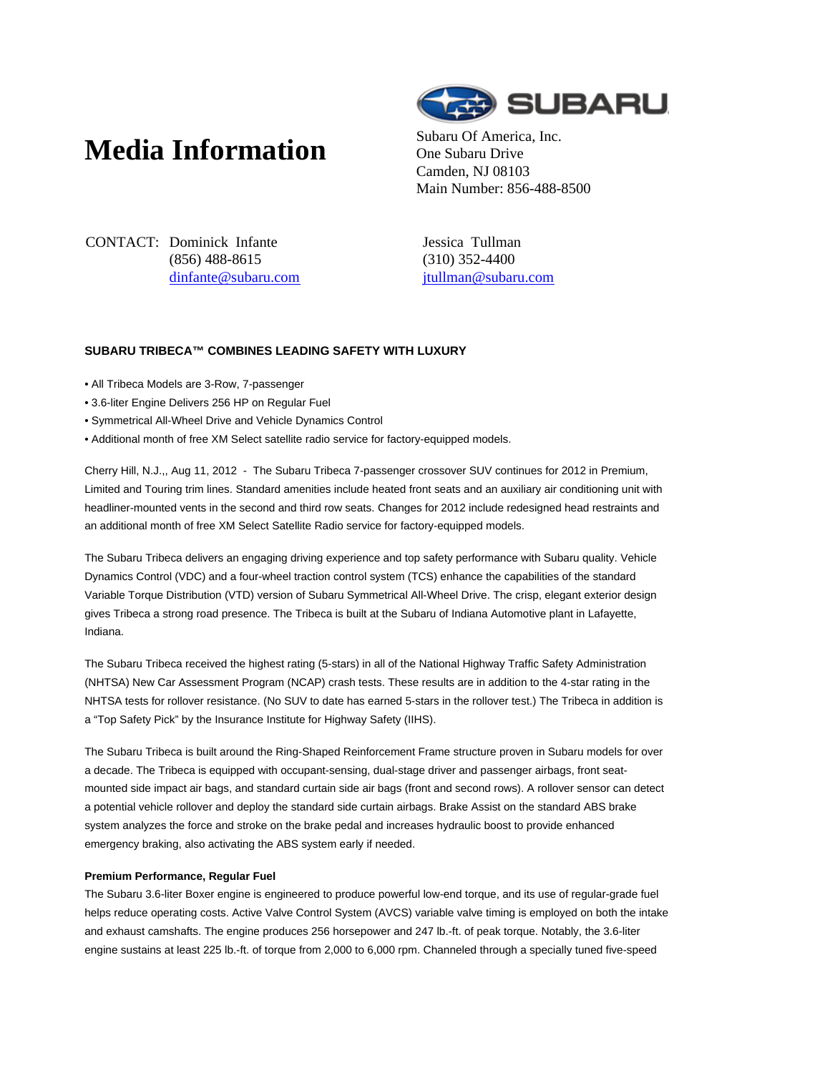# **Media Information** Subaru Of America, Inc.



One Subaru Drive Camden, NJ 08103 Main Number: 856-488-8500

CONTACT: Dominick Infante (856) 488-8615 dinfante@subaru.com Jessica Tullman (310) 352-4400 jtullman@subaru.com

# **SUBARU TRIBECA™ COMBINES LEADING SAFETY WITH LUXURY**

- All Tribeca Models are 3-Row, 7-passenger
- 3.6-liter Engine Delivers 256 HP on Regular Fuel
- Symmetrical All-Wheel Drive and Vehicle Dynamics Control
- Additional month of free XM Select satellite radio service for factory-equipped models.

Cherry Hill, N.J.,, Aug 11, 2012 - The Subaru Tribeca 7-passenger crossover SUV continues for 2012 in Premium, Limited and Touring trim lines. Standard amenities include heated front seats and an auxiliary air conditioning unit with headliner-mounted vents in the second and third row seats. Changes for 2012 include redesigned head restraints and an additional month of free XM Select Satellite Radio service for factory-equipped models.

The Subaru Tribeca delivers an engaging driving experience and top safety performance with Subaru quality. Vehicle Dynamics Control (VDC) and a four-wheel traction control system (TCS) enhance the capabilities of the standard Variable Torque Distribution (VTD) version of Subaru Symmetrical All-Wheel Drive. The crisp, elegant exterior design gives Tribeca a strong road presence. The Tribeca is built at the Subaru of Indiana Automotive plant in Lafayette, Indiana.

The Subaru Tribeca received the highest rating (5-stars) in all of the National Highway Traffic Safety Administration (NHTSA) New Car Assessment Program (NCAP) crash tests. These results are in addition to the 4-star rating in the NHTSA tests for rollover resistance. (No SUV to date has earned 5-stars in the rollover test.) The Tribeca in addition is a "Top Safety Pick" by the Insurance Institute for Highway Safety (IIHS).

The Subaru Tribeca is built around the Ring-Shaped Reinforcement Frame structure proven in Subaru models for over a decade. The Tribeca is equipped with occupant-sensing, dual-stage driver and passenger airbags, front seatmounted side impact air bags, and standard curtain side air bags (front and second rows). A rollover sensor can detect a potential vehicle rollover and deploy the standard side curtain airbags. Brake Assist on the standard ABS brake system analyzes the force and stroke on the brake pedal and increases hydraulic boost to provide enhanced emergency braking, also activating the ABS system early if needed.

## **Premium Performance, Regular Fuel**

The Subaru 3.6-liter Boxer engine is engineered to produce powerful low-end torque, and its use of regular-grade fuel helps reduce operating costs. Active Valve Control System (AVCS) variable valve timing is employed on both the intake and exhaust camshafts. The engine produces 256 horsepower and 247 lb.-ft. of peak torque. Notably, the 3.6-liter engine sustains at least 225 lb.-ft. of torque from 2,000 to 6,000 rpm. Channeled through a specially tuned five-speed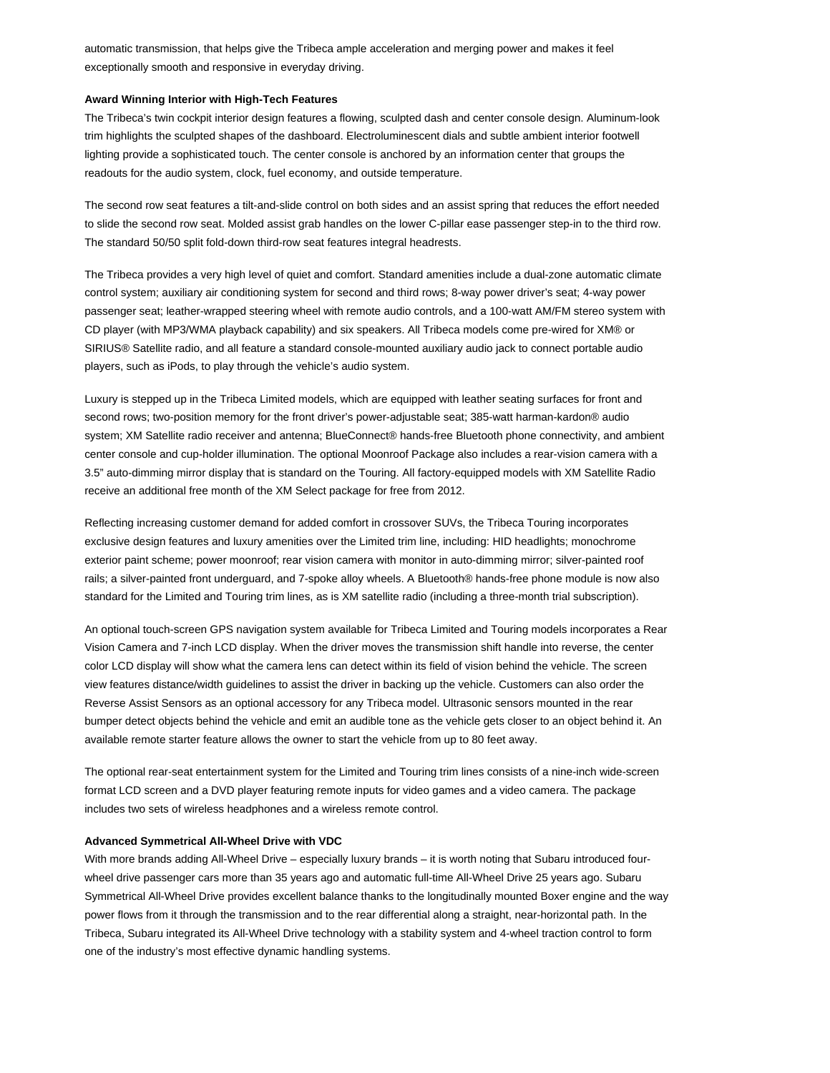automatic transmission, that helps give the Tribeca ample acceleration and merging power and makes it feel exceptionally smooth and responsive in everyday driving.

### **Award Winning Interior with High-Tech Features**

The Tribeca's twin cockpit interior design features a flowing, sculpted dash and center console design. Aluminum-look trim highlights the sculpted shapes of the dashboard. Electroluminescent dials and subtle ambient interior footwell lighting provide a sophisticated touch. The center console is anchored by an information center that groups the readouts for the audio system, clock, fuel economy, and outside temperature.

The second row seat features a tilt-and-slide control on both sides and an assist spring that reduces the effort needed to slide the second row seat. Molded assist grab handles on the lower C-pillar ease passenger step-in to the third row. The standard 50/50 split fold-down third-row seat features integral headrests.

The Tribeca provides a very high level of quiet and comfort. Standard amenities include a dual-zone automatic climate control system; auxiliary air conditioning system for second and third rows; 8-way power driver's seat; 4-way power passenger seat; leather-wrapped steering wheel with remote audio controls, and a 100-watt AM/FM stereo system with CD player (with MP3/WMA playback capability) and six speakers. All Tribeca models come pre-wired for XM® or SIRIUS® Satellite radio, and all feature a standard console-mounted auxiliary audio jack to connect portable audio players, such as iPods, to play through the vehicle's audio system.

Luxury is stepped up in the Tribeca Limited models, which are equipped with leather seating surfaces for front and second rows; two-position memory for the front driver's power-adjustable seat; 385-watt harman-kardon® audio system; XM Satellite radio receiver and antenna; BlueConnect® hands-free Bluetooth phone connectivity, and ambient center console and cup-holder illumination. The optional Moonroof Package also includes a rear-vision camera with a 3.5" auto-dimming mirror display that is standard on the Touring. All factory-equipped models with XM Satellite Radio receive an additional free month of the XM Select package for free from 2012.

Reflecting increasing customer demand for added comfort in crossover SUVs, the Tribeca Touring incorporates exclusive design features and luxury amenities over the Limited trim line, including: HID headlights; monochrome exterior paint scheme; power moonroof; rear vision camera with monitor in auto-dimming mirror; silver-painted roof rails; a silver-painted front underguard, and 7-spoke alloy wheels. A Bluetooth® hands-free phone module is now also standard for the Limited and Touring trim lines, as is XM satellite radio (including a three-month trial subscription).

An optional touch-screen GPS navigation system available for Tribeca Limited and Touring models incorporates a Rear Vision Camera and 7-inch LCD display. When the driver moves the transmission shift handle into reverse, the center color LCD display will show what the camera lens can detect within its field of vision behind the vehicle. The screen view features distance/width guidelines to assist the driver in backing up the vehicle. Customers can also order the Reverse Assist Sensors as an optional accessory for any Tribeca model. Ultrasonic sensors mounted in the rear bumper detect objects behind the vehicle and emit an audible tone as the vehicle gets closer to an object behind it. An available remote starter feature allows the owner to start the vehicle from up to 80 feet away.

The optional rear-seat entertainment system for the Limited and Touring trim lines consists of a nine-inch wide-screen format LCD screen and a DVD player featuring remote inputs for video games and a video camera. The package includes two sets of wireless headphones and a wireless remote control.

#### **Advanced Symmetrical All-Wheel Drive with VDC**

With more brands adding All-Wheel Drive – especially luxury brands – it is worth noting that Subaru introduced fourwheel drive passenger cars more than 35 years ago and automatic full-time All-Wheel Drive 25 years ago. Subaru Symmetrical All-Wheel Drive provides excellent balance thanks to the longitudinally mounted Boxer engine and the way power flows from it through the transmission and to the rear differential along a straight, near-horizontal path. In the Tribeca, Subaru integrated its All-Wheel Drive technology with a stability system and 4-wheel traction control to form one of the industry's most effective dynamic handling systems.